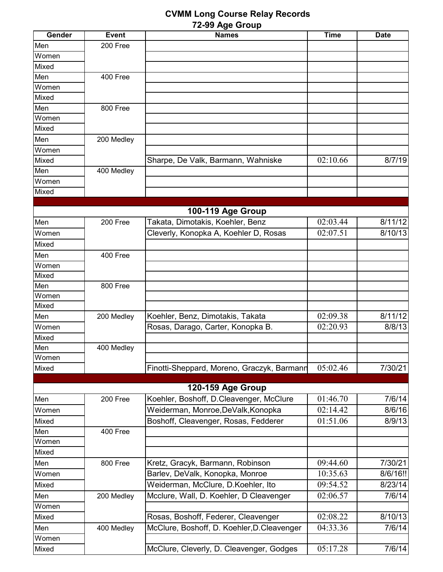## **CVMM Long Course Relay Records 72-99 Age Group**

| Gender | <b>Event</b> | <b>Names</b>                                | <b>Time</b> | <b>Date</b> |
|--------|--------------|---------------------------------------------|-------------|-------------|
| Men    | 200 Free     |                                             |             |             |
| Women  |              |                                             |             |             |
| Mixed  |              |                                             |             |             |
| Men    | 400 Free     |                                             |             |             |
| Women  |              |                                             |             |             |
| Mixed  |              |                                             |             |             |
| Men    | 800 Free     |                                             |             |             |
| Women  |              |                                             |             |             |
| Mixed  |              |                                             |             |             |
| Men    | 200 Medley   |                                             |             |             |
| Women  |              |                                             |             |             |
| Mixed  |              | Sharpe, De Valk, Barmann, Wahniske          | 02:10.66    | 8/7/19      |
| Men    | 400 Medley   |                                             |             |             |
| Women  |              |                                             |             |             |
| Mixed  |              |                                             |             |             |
|        |              |                                             |             |             |
|        |              | 100-119 Age Group                           |             |             |
| Men    | 200 Free     | Takata, Dimotakis, Koehler, Benz            | 02:03.44    | 8/11/12     |
| Women  |              | Cleverly, Konopka A, Koehler D, Rosas       | 02:07.51    | 8/10/13     |
| Mixed  |              |                                             |             |             |
| Men    | 400 Free     |                                             |             |             |
| Women  |              |                                             |             |             |
| Mixed  |              |                                             |             |             |
| Men    | 800 Free     |                                             |             |             |
| Women  |              |                                             |             |             |
| Mixed  |              |                                             |             |             |
| Men    | 200 Medley   | Koehler, Benz, Dimotakis, Takata            | 02:09.38    | 8/11/12     |
| Women  |              | Rosas, Darago, Carter, Konopka B.           | 02:20.93    | 8/8/13      |
| Mixed  |              |                                             |             |             |
| Men    | 400 Medley   |                                             |             |             |
| Women  |              |                                             |             |             |
| Mixed  |              | Finotti-Sheppard, Moreno, Graczyk, Barmann  | 05:02.46    | 7/30/21     |
|        |              |                                             |             |             |
|        |              | 120-159 Age Group                           |             |             |
| Men    | 200 Free     | Koehler, Boshoff, D.Cleavenger, McClure     | 01:46.70    | 7/6/14      |
| Women  |              | Weiderman, Monroe, DeValk, Konopka          | 02:14.42    | 8/6/16      |
| Mixed  |              | Boshoff, Cleavenger, Rosas, Fedderer        | 01:51.06    | 8/9/13      |
| Men    | 400 Free     |                                             |             |             |
| Women  |              |                                             |             |             |
| Mixed  |              |                                             |             |             |
| Men    | 800 Free     | Kretz, Gracyk, Barmann, Robinson            | 09:44.60    | 7/30/21     |
| Women  |              | Barlev, DeValk, Konopka, Monroe             | 10:35.63    | 8/6/16!!    |
| Mixed  |              | Weiderman, McClure, D.Koehler, Ito          | 09:54.52    | 8/23/14     |
| Men    | 200 Medley   | Mcclure, Wall, D. Koehler, D Cleavenger     | 02:06.57    | 7/6/14      |
| Women  |              |                                             |             |             |
| Mixed  |              | Rosas, Boshoff, Federer, Cleavenger         | 02:08.22    | 8/10/13     |
| Men    | 400 Medley   | McClure, Boshoff, D. Koehler, D. Cleavenger | 04:33.36    | 7/6/14      |
| Women  |              |                                             |             |             |
| Mixed  |              | McClure, Cleverly, D. Cleavenger, Godges    | 05:17.28    | 7/6/14      |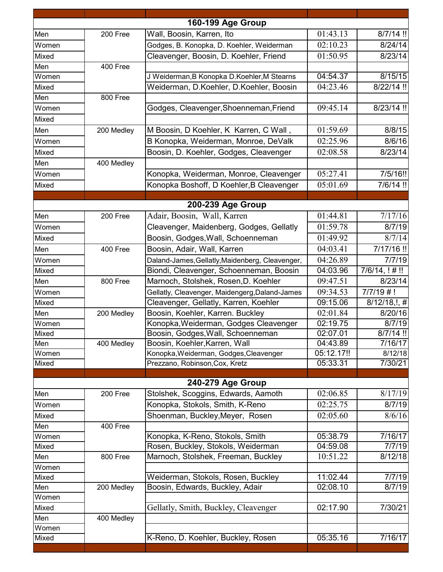| 8/7/14 !!<br>Men<br>01:43.13<br>200 Free<br>Wall, Boosin, Karren, Ito<br>02:10.23<br>Godges, B. Konopka, D. Koehler, Weiderman<br>8/24/14<br>Women<br>01:50.95<br>Cleavenger, Boosin, D. Koehler, Friend<br>8/23/14<br>Mixed<br>Men<br>$\overline{400}$ Free<br>04:54.37<br>8/15/15<br>J Weiderman, B Konopka D.Koehler, M Stearns<br>Women<br>Weiderman, D.Koehler, D.Koehler, Boosin<br>04:23.46<br>8/22/14 !!<br>Mixed<br>Men<br>800 Free<br>09:45.14<br>8/23/14 !!<br>Godges, Cleavenger, Shoenneman, Friend<br>Women<br>Mixed<br>01:59.69<br>8/8/15<br>M Boosin, D Koehler, K Karren, C Wall,<br>Men<br>200 Medley<br>B Konopka, Weiderman, Monroe, DeValk<br>8/6/16<br>02:25.96<br>Women<br>Boosin, D. Koehler, Godges, Cleavenger<br>02:08.58<br>8/23/14<br>Mixed<br>Men<br>400 Medley<br>05:27.41<br>7/5/16!!<br>Konopka, Weiderman, Monroe, Cleavenger<br>Women<br>05:01.69<br>Konopka Boshoff, D Koehler, B Cleavenger<br>7/6/14 !!<br>Mixed<br>200-239 Age Group<br>7/17/16<br>01:44.81<br>Adair, Boosin, Wall, Karren<br>Men<br>200 Free<br>01:59.78<br>Cleavenger, Maidenberg, Godges, Gellatly<br>8/7/19<br>Women<br>Boosin, Godges, Wall, Schoenneman<br>01:49.92<br>8/7/14<br>Mixed<br>Boosin, Adair, Wall, Karren<br>04:03.41<br>7/17/16!<br>Men<br>400 Free<br>04:26.89<br>7/7/19<br>Daland-James, Gellatly, Maidenberg, Cleavenger,<br>Women<br>Biondi, Cleavenger, Schoenneman, Boosin<br>04:03.96<br>$7/6/14$ , !#!!<br>Mixed<br>Men<br>800 Free<br>Marnoch, Stolshek, Rosen, D. Koehler<br>09:47.51<br>8/23/14<br>09:34.53<br>Gellatly, Cleavenger, Maidengerg, Daland-James<br>$7/7/19$ #!<br>Women<br>Cleavenger, Gellatly, Karren, Koehler<br>09:15.06<br>Mixed<br>$\overline{8}/12/18,$ !, #<br>Boosin, Koehler, Karren. Buckley<br>Men<br>02:01.84<br>8/20/16<br>200 Medley<br>Konopka, Weiderman, Godges Cleavenger<br>02:19.75<br>$8/7/\overline{19}$<br>Women<br>Boosin, Godges, Wall, Schoenneman<br>02:07.01<br>Mixed<br>Men<br>Boosin, Koehler, Karren, Wall<br>04:43.89<br>7/16/17<br>400 Medley<br>Konopka, Weiderman, Godges, Cleavenger<br>05:12.17!!<br>Women<br>8/12/18<br>05:33.31<br>7/30/21<br>Mixed<br>Prezzano, Robinson, Cox, Kretz<br>240-279 Age Group<br>8/17/19<br>02:06.85<br>200 Free<br>Stolshek, Scoggins, Edwards, Aamoth<br>Men<br>Konopka, Stokols, Smith, K-Reno<br>02:25.75<br>8/7/19<br>Women<br>02:05.60<br>Shoenman, Buckley, Meyer, Rosen<br>8/6/16<br>Mixed<br>Men<br>400 Free<br>Konopka, K-Reno, Stokols, Smith<br>05:38.79<br>7/16/17<br>Women<br>Rosen, Buckley, Stokols, Weiderman<br>04:59.08<br>7/7/19<br>Mixed<br>Marnoch, Stolshek, Freeman, Buckley<br>10:51.22<br>8/12/18<br>Men<br>800 Free<br>Women<br>Weiderman, Stokols, Rosen, Buckley<br>11:02.44<br>7/7/19<br>Mixed<br>Boosin, Edwards, Buckley, Adair<br>8/7/19<br>200 Medley<br>02:08.10<br>Men<br>Women<br>Gellatly, Smith, Buckley, Cleavenger<br>02:17.90<br>7/30/21<br>Mixed<br>Men<br>400 Medley<br>Women<br>K-Reno, D. Koehler, Buckley, Rosen<br>05:35.16<br>7/16/17<br>Mixed |  |                   |             |
|-------------------------------------------------------------------------------------------------------------------------------------------------------------------------------------------------------------------------------------------------------------------------------------------------------------------------------------------------------------------------------------------------------------------------------------------------------------------------------------------------------------------------------------------------------------------------------------------------------------------------------------------------------------------------------------------------------------------------------------------------------------------------------------------------------------------------------------------------------------------------------------------------------------------------------------------------------------------------------------------------------------------------------------------------------------------------------------------------------------------------------------------------------------------------------------------------------------------------------------------------------------------------------------------------------------------------------------------------------------------------------------------------------------------------------------------------------------------------------------------------------------------------------------------------------------------------------------------------------------------------------------------------------------------------------------------------------------------------------------------------------------------------------------------------------------------------------------------------------------------------------------------------------------------------------------------------------------------------------------------------------------------------------------------------------------------------------------------------------------------------------------------------------------------------------------------------------------------------------------------------------------------------------------------------------------------------------------------------------------------------------------------------------------------------------------------------------------------------------------------------------------------------------------------------------------------------------------------------------------------------------------------------------------------------------------------------------------------------------------------------------------------------------------------------------------------------------------------------------------------------------------------------------------------------------------------------------------------------------------------------------------------------|--|-------------------|-------------|
|                                                                                                                                                                                                                                                                                                                                                                                                                                                                                                                                                                                                                                                                                                                                                                                                                                                                                                                                                                                                                                                                                                                                                                                                                                                                                                                                                                                                                                                                                                                                                                                                                                                                                                                                                                                                                                                                                                                                                                                                                                                                                                                                                                                                                                                                                                                                                                                                                                                                                                                                                                                                                                                                                                                                                                                                                                                                                                                                                                                                                         |  | 160-199 Age Group |             |
|                                                                                                                                                                                                                                                                                                                                                                                                                                                                                                                                                                                                                                                                                                                                                                                                                                                                                                                                                                                                                                                                                                                                                                                                                                                                                                                                                                                                                                                                                                                                                                                                                                                                                                                                                                                                                                                                                                                                                                                                                                                                                                                                                                                                                                                                                                                                                                                                                                                                                                                                                                                                                                                                                                                                                                                                                                                                                                                                                                                                                         |  |                   |             |
|                                                                                                                                                                                                                                                                                                                                                                                                                                                                                                                                                                                                                                                                                                                                                                                                                                                                                                                                                                                                                                                                                                                                                                                                                                                                                                                                                                                                                                                                                                                                                                                                                                                                                                                                                                                                                                                                                                                                                                                                                                                                                                                                                                                                                                                                                                                                                                                                                                                                                                                                                                                                                                                                                                                                                                                                                                                                                                                                                                                                                         |  |                   |             |
|                                                                                                                                                                                                                                                                                                                                                                                                                                                                                                                                                                                                                                                                                                                                                                                                                                                                                                                                                                                                                                                                                                                                                                                                                                                                                                                                                                                                                                                                                                                                                                                                                                                                                                                                                                                                                                                                                                                                                                                                                                                                                                                                                                                                                                                                                                                                                                                                                                                                                                                                                                                                                                                                                                                                                                                                                                                                                                                                                                                                                         |  |                   |             |
|                                                                                                                                                                                                                                                                                                                                                                                                                                                                                                                                                                                                                                                                                                                                                                                                                                                                                                                                                                                                                                                                                                                                                                                                                                                                                                                                                                                                                                                                                                                                                                                                                                                                                                                                                                                                                                                                                                                                                                                                                                                                                                                                                                                                                                                                                                                                                                                                                                                                                                                                                                                                                                                                                                                                                                                                                                                                                                                                                                                                                         |  |                   |             |
|                                                                                                                                                                                                                                                                                                                                                                                                                                                                                                                                                                                                                                                                                                                                                                                                                                                                                                                                                                                                                                                                                                                                                                                                                                                                                                                                                                                                                                                                                                                                                                                                                                                                                                                                                                                                                                                                                                                                                                                                                                                                                                                                                                                                                                                                                                                                                                                                                                                                                                                                                                                                                                                                                                                                                                                                                                                                                                                                                                                                                         |  |                   |             |
|                                                                                                                                                                                                                                                                                                                                                                                                                                                                                                                                                                                                                                                                                                                                                                                                                                                                                                                                                                                                                                                                                                                                                                                                                                                                                                                                                                                                                                                                                                                                                                                                                                                                                                                                                                                                                                                                                                                                                                                                                                                                                                                                                                                                                                                                                                                                                                                                                                                                                                                                                                                                                                                                                                                                                                                                                                                                                                                                                                                                                         |  |                   |             |
|                                                                                                                                                                                                                                                                                                                                                                                                                                                                                                                                                                                                                                                                                                                                                                                                                                                                                                                                                                                                                                                                                                                                                                                                                                                                                                                                                                                                                                                                                                                                                                                                                                                                                                                                                                                                                                                                                                                                                                                                                                                                                                                                                                                                                                                                                                                                                                                                                                                                                                                                                                                                                                                                                                                                                                                                                                                                                                                                                                                                                         |  |                   |             |
|                                                                                                                                                                                                                                                                                                                                                                                                                                                                                                                                                                                                                                                                                                                                                                                                                                                                                                                                                                                                                                                                                                                                                                                                                                                                                                                                                                                                                                                                                                                                                                                                                                                                                                                                                                                                                                                                                                                                                                                                                                                                                                                                                                                                                                                                                                                                                                                                                                                                                                                                                                                                                                                                                                                                                                                                                                                                                                                                                                                                                         |  |                   |             |
|                                                                                                                                                                                                                                                                                                                                                                                                                                                                                                                                                                                                                                                                                                                                                                                                                                                                                                                                                                                                                                                                                                                                                                                                                                                                                                                                                                                                                                                                                                                                                                                                                                                                                                                                                                                                                                                                                                                                                                                                                                                                                                                                                                                                                                                                                                                                                                                                                                                                                                                                                                                                                                                                                                                                                                                                                                                                                                                                                                                                                         |  |                   |             |
|                                                                                                                                                                                                                                                                                                                                                                                                                                                                                                                                                                                                                                                                                                                                                                                                                                                                                                                                                                                                                                                                                                                                                                                                                                                                                                                                                                                                                                                                                                                                                                                                                                                                                                                                                                                                                                                                                                                                                                                                                                                                                                                                                                                                                                                                                                                                                                                                                                                                                                                                                                                                                                                                                                                                                                                                                                                                                                                                                                                                                         |  |                   |             |
|                                                                                                                                                                                                                                                                                                                                                                                                                                                                                                                                                                                                                                                                                                                                                                                                                                                                                                                                                                                                                                                                                                                                                                                                                                                                                                                                                                                                                                                                                                                                                                                                                                                                                                                                                                                                                                                                                                                                                                                                                                                                                                                                                                                                                                                                                                                                                                                                                                                                                                                                                                                                                                                                                                                                                                                                                                                                                                                                                                                                                         |  |                   |             |
|                                                                                                                                                                                                                                                                                                                                                                                                                                                                                                                                                                                                                                                                                                                                                                                                                                                                                                                                                                                                                                                                                                                                                                                                                                                                                                                                                                                                                                                                                                                                                                                                                                                                                                                                                                                                                                                                                                                                                                                                                                                                                                                                                                                                                                                                                                                                                                                                                                                                                                                                                                                                                                                                                                                                                                                                                                                                                                                                                                                                                         |  |                   |             |
|                                                                                                                                                                                                                                                                                                                                                                                                                                                                                                                                                                                                                                                                                                                                                                                                                                                                                                                                                                                                                                                                                                                                                                                                                                                                                                                                                                                                                                                                                                                                                                                                                                                                                                                                                                                                                                                                                                                                                                                                                                                                                                                                                                                                                                                                                                                                                                                                                                                                                                                                                                                                                                                                                                                                                                                                                                                                                                                                                                                                                         |  |                   |             |
|                                                                                                                                                                                                                                                                                                                                                                                                                                                                                                                                                                                                                                                                                                                                                                                                                                                                                                                                                                                                                                                                                                                                                                                                                                                                                                                                                                                                                                                                                                                                                                                                                                                                                                                                                                                                                                                                                                                                                                                                                                                                                                                                                                                                                                                                                                                                                                                                                                                                                                                                                                                                                                                                                                                                                                                                                                                                                                                                                                                                                         |  |                   |             |
|                                                                                                                                                                                                                                                                                                                                                                                                                                                                                                                                                                                                                                                                                                                                                                                                                                                                                                                                                                                                                                                                                                                                                                                                                                                                                                                                                                                                                                                                                                                                                                                                                                                                                                                                                                                                                                                                                                                                                                                                                                                                                                                                                                                                                                                                                                                                                                                                                                                                                                                                                                                                                                                                                                                                                                                                                                                                                                                                                                                                                         |  |                   |             |
|                                                                                                                                                                                                                                                                                                                                                                                                                                                                                                                                                                                                                                                                                                                                                                                                                                                                                                                                                                                                                                                                                                                                                                                                                                                                                                                                                                                                                                                                                                                                                                                                                                                                                                                                                                                                                                                                                                                                                                                                                                                                                                                                                                                                                                                                                                                                                                                                                                                                                                                                                                                                                                                                                                                                                                                                                                                                                                                                                                                                                         |  |                   |             |
|                                                                                                                                                                                                                                                                                                                                                                                                                                                                                                                                                                                                                                                                                                                                                                                                                                                                                                                                                                                                                                                                                                                                                                                                                                                                                                                                                                                                                                                                                                                                                                                                                                                                                                                                                                                                                                                                                                                                                                                                                                                                                                                                                                                                                                                                                                                                                                                                                                                                                                                                                                                                                                                                                                                                                                                                                                                                                                                                                                                                                         |  |                   |             |
|                                                                                                                                                                                                                                                                                                                                                                                                                                                                                                                                                                                                                                                                                                                                                                                                                                                                                                                                                                                                                                                                                                                                                                                                                                                                                                                                                                                                                                                                                                                                                                                                                                                                                                                                                                                                                                                                                                                                                                                                                                                                                                                                                                                                                                                                                                                                                                                                                                                                                                                                                                                                                                                                                                                                                                                                                                                                                                                                                                                                                         |  |                   |             |
|                                                                                                                                                                                                                                                                                                                                                                                                                                                                                                                                                                                                                                                                                                                                                                                                                                                                                                                                                                                                                                                                                                                                                                                                                                                                                                                                                                                                                                                                                                                                                                                                                                                                                                                                                                                                                                                                                                                                                                                                                                                                                                                                                                                                                                                                                                                                                                                                                                                                                                                                                                                                                                                                                                                                                                                                                                                                                                                                                                                                                         |  |                   |             |
|                                                                                                                                                                                                                                                                                                                                                                                                                                                                                                                                                                                                                                                                                                                                                                                                                                                                                                                                                                                                                                                                                                                                                                                                                                                                                                                                                                                                                                                                                                                                                                                                                                                                                                                                                                                                                                                                                                                                                                                                                                                                                                                                                                                                                                                                                                                                                                                                                                                                                                                                                                                                                                                                                                                                                                                                                                                                                                                                                                                                                         |  |                   |             |
|                                                                                                                                                                                                                                                                                                                                                                                                                                                                                                                                                                                                                                                                                                                                                                                                                                                                                                                                                                                                                                                                                                                                                                                                                                                                                                                                                                                                                                                                                                                                                                                                                                                                                                                                                                                                                                                                                                                                                                                                                                                                                                                                                                                                                                                                                                                                                                                                                                                                                                                                                                                                                                                                                                                                                                                                                                                                                                                                                                                                                         |  |                   |             |
|                                                                                                                                                                                                                                                                                                                                                                                                                                                                                                                                                                                                                                                                                                                                                                                                                                                                                                                                                                                                                                                                                                                                                                                                                                                                                                                                                                                                                                                                                                                                                                                                                                                                                                                                                                                                                                                                                                                                                                                                                                                                                                                                                                                                                                                                                                                                                                                                                                                                                                                                                                                                                                                                                                                                                                                                                                                                                                                                                                                                                         |  |                   |             |
|                                                                                                                                                                                                                                                                                                                                                                                                                                                                                                                                                                                                                                                                                                                                                                                                                                                                                                                                                                                                                                                                                                                                                                                                                                                                                                                                                                                                                                                                                                                                                                                                                                                                                                                                                                                                                                                                                                                                                                                                                                                                                                                                                                                                                                                                                                                                                                                                                                                                                                                                                                                                                                                                                                                                                                                                                                                                                                                                                                                                                         |  |                   |             |
|                                                                                                                                                                                                                                                                                                                                                                                                                                                                                                                                                                                                                                                                                                                                                                                                                                                                                                                                                                                                                                                                                                                                                                                                                                                                                                                                                                                                                                                                                                                                                                                                                                                                                                                                                                                                                                                                                                                                                                                                                                                                                                                                                                                                                                                                                                                                                                                                                                                                                                                                                                                                                                                                                                                                                                                                                                                                                                                                                                                                                         |  |                   |             |
|                                                                                                                                                                                                                                                                                                                                                                                                                                                                                                                                                                                                                                                                                                                                                                                                                                                                                                                                                                                                                                                                                                                                                                                                                                                                                                                                                                                                                                                                                                                                                                                                                                                                                                                                                                                                                                                                                                                                                                                                                                                                                                                                                                                                                                                                                                                                                                                                                                                                                                                                                                                                                                                                                                                                                                                                                                                                                                                                                                                                                         |  |                   |             |
|                                                                                                                                                                                                                                                                                                                                                                                                                                                                                                                                                                                                                                                                                                                                                                                                                                                                                                                                                                                                                                                                                                                                                                                                                                                                                                                                                                                                                                                                                                                                                                                                                                                                                                                                                                                                                                                                                                                                                                                                                                                                                                                                                                                                                                                                                                                                                                                                                                                                                                                                                                                                                                                                                                                                                                                                                                                                                                                                                                                                                         |  |                   |             |
|                                                                                                                                                                                                                                                                                                                                                                                                                                                                                                                                                                                                                                                                                                                                                                                                                                                                                                                                                                                                                                                                                                                                                                                                                                                                                                                                                                                                                                                                                                                                                                                                                                                                                                                                                                                                                                                                                                                                                                                                                                                                                                                                                                                                                                                                                                                                                                                                                                                                                                                                                                                                                                                                                                                                                                                                                                                                                                                                                                                                                         |  |                   |             |
|                                                                                                                                                                                                                                                                                                                                                                                                                                                                                                                                                                                                                                                                                                                                                                                                                                                                                                                                                                                                                                                                                                                                                                                                                                                                                                                                                                                                                                                                                                                                                                                                                                                                                                                                                                                                                                                                                                                                                                                                                                                                                                                                                                                                                                                                                                                                                                                                                                                                                                                                                                                                                                                                                                                                                                                                                                                                                                                                                                                                                         |  |                   |             |
|                                                                                                                                                                                                                                                                                                                                                                                                                                                                                                                                                                                                                                                                                                                                                                                                                                                                                                                                                                                                                                                                                                                                                                                                                                                                                                                                                                                                                                                                                                                                                                                                                                                                                                                                                                                                                                                                                                                                                                                                                                                                                                                                                                                                                                                                                                                                                                                                                                                                                                                                                                                                                                                                                                                                                                                                                                                                                                                                                                                                                         |  |                   |             |
|                                                                                                                                                                                                                                                                                                                                                                                                                                                                                                                                                                                                                                                                                                                                                                                                                                                                                                                                                                                                                                                                                                                                                                                                                                                                                                                                                                                                                                                                                                                                                                                                                                                                                                                                                                                                                                                                                                                                                                                                                                                                                                                                                                                                                                                                                                                                                                                                                                                                                                                                                                                                                                                                                                                                                                                                                                                                                                                                                                                                                         |  |                   | $8/7/14$ !! |
|                                                                                                                                                                                                                                                                                                                                                                                                                                                                                                                                                                                                                                                                                                                                                                                                                                                                                                                                                                                                                                                                                                                                                                                                                                                                                                                                                                                                                                                                                                                                                                                                                                                                                                                                                                                                                                                                                                                                                                                                                                                                                                                                                                                                                                                                                                                                                                                                                                                                                                                                                                                                                                                                                                                                                                                                                                                                                                                                                                                                                         |  |                   |             |
|                                                                                                                                                                                                                                                                                                                                                                                                                                                                                                                                                                                                                                                                                                                                                                                                                                                                                                                                                                                                                                                                                                                                                                                                                                                                                                                                                                                                                                                                                                                                                                                                                                                                                                                                                                                                                                                                                                                                                                                                                                                                                                                                                                                                                                                                                                                                                                                                                                                                                                                                                                                                                                                                                                                                                                                                                                                                                                                                                                                                                         |  |                   |             |
|                                                                                                                                                                                                                                                                                                                                                                                                                                                                                                                                                                                                                                                                                                                                                                                                                                                                                                                                                                                                                                                                                                                                                                                                                                                                                                                                                                                                                                                                                                                                                                                                                                                                                                                                                                                                                                                                                                                                                                                                                                                                                                                                                                                                                                                                                                                                                                                                                                                                                                                                                                                                                                                                                                                                                                                                                                                                                                                                                                                                                         |  |                   |             |
|                                                                                                                                                                                                                                                                                                                                                                                                                                                                                                                                                                                                                                                                                                                                                                                                                                                                                                                                                                                                                                                                                                                                                                                                                                                                                                                                                                                                                                                                                                                                                                                                                                                                                                                                                                                                                                                                                                                                                                                                                                                                                                                                                                                                                                                                                                                                                                                                                                                                                                                                                                                                                                                                                                                                                                                                                                                                                                                                                                                                                         |  |                   |             |
|                                                                                                                                                                                                                                                                                                                                                                                                                                                                                                                                                                                                                                                                                                                                                                                                                                                                                                                                                                                                                                                                                                                                                                                                                                                                                                                                                                                                                                                                                                                                                                                                                                                                                                                                                                                                                                                                                                                                                                                                                                                                                                                                                                                                                                                                                                                                                                                                                                                                                                                                                                                                                                                                                                                                                                                                                                                                                                                                                                                                                         |  |                   |             |
|                                                                                                                                                                                                                                                                                                                                                                                                                                                                                                                                                                                                                                                                                                                                                                                                                                                                                                                                                                                                                                                                                                                                                                                                                                                                                                                                                                                                                                                                                                                                                                                                                                                                                                                                                                                                                                                                                                                                                                                                                                                                                                                                                                                                                                                                                                                                                                                                                                                                                                                                                                                                                                                                                                                                                                                                                                                                                                                                                                                                                         |  |                   |             |
|                                                                                                                                                                                                                                                                                                                                                                                                                                                                                                                                                                                                                                                                                                                                                                                                                                                                                                                                                                                                                                                                                                                                                                                                                                                                                                                                                                                                                                                                                                                                                                                                                                                                                                                                                                                                                                                                                                                                                                                                                                                                                                                                                                                                                                                                                                                                                                                                                                                                                                                                                                                                                                                                                                                                                                                                                                                                                                                                                                                                                         |  |                   |             |
|                                                                                                                                                                                                                                                                                                                                                                                                                                                                                                                                                                                                                                                                                                                                                                                                                                                                                                                                                                                                                                                                                                                                                                                                                                                                                                                                                                                                                                                                                                                                                                                                                                                                                                                                                                                                                                                                                                                                                                                                                                                                                                                                                                                                                                                                                                                                                                                                                                                                                                                                                                                                                                                                                                                                                                                                                                                                                                                                                                                                                         |  |                   |             |
|                                                                                                                                                                                                                                                                                                                                                                                                                                                                                                                                                                                                                                                                                                                                                                                                                                                                                                                                                                                                                                                                                                                                                                                                                                                                                                                                                                                                                                                                                                                                                                                                                                                                                                                                                                                                                                                                                                                                                                                                                                                                                                                                                                                                                                                                                                                                                                                                                                                                                                                                                                                                                                                                                                                                                                                                                                                                                                                                                                                                                         |  |                   |             |
|                                                                                                                                                                                                                                                                                                                                                                                                                                                                                                                                                                                                                                                                                                                                                                                                                                                                                                                                                                                                                                                                                                                                                                                                                                                                                                                                                                                                                                                                                                                                                                                                                                                                                                                                                                                                                                                                                                                                                                                                                                                                                                                                                                                                                                                                                                                                                                                                                                                                                                                                                                                                                                                                                                                                                                                                                                                                                                                                                                                                                         |  |                   |             |
|                                                                                                                                                                                                                                                                                                                                                                                                                                                                                                                                                                                                                                                                                                                                                                                                                                                                                                                                                                                                                                                                                                                                                                                                                                                                                                                                                                                                                                                                                                                                                                                                                                                                                                                                                                                                                                                                                                                                                                                                                                                                                                                                                                                                                                                                                                                                                                                                                                                                                                                                                                                                                                                                                                                                                                                                                                                                                                                                                                                                                         |  |                   |             |
|                                                                                                                                                                                                                                                                                                                                                                                                                                                                                                                                                                                                                                                                                                                                                                                                                                                                                                                                                                                                                                                                                                                                                                                                                                                                                                                                                                                                                                                                                                                                                                                                                                                                                                                                                                                                                                                                                                                                                                                                                                                                                                                                                                                                                                                                                                                                                                                                                                                                                                                                                                                                                                                                                                                                                                                                                                                                                                                                                                                                                         |  |                   |             |
|                                                                                                                                                                                                                                                                                                                                                                                                                                                                                                                                                                                                                                                                                                                                                                                                                                                                                                                                                                                                                                                                                                                                                                                                                                                                                                                                                                                                                                                                                                                                                                                                                                                                                                                                                                                                                                                                                                                                                                                                                                                                                                                                                                                                                                                                                                                                                                                                                                                                                                                                                                                                                                                                                                                                                                                                                                                                                                                                                                                                                         |  |                   |             |
|                                                                                                                                                                                                                                                                                                                                                                                                                                                                                                                                                                                                                                                                                                                                                                                                                                                                                                                                                                                                                                                                                                                                                                                                                                                                                                                                                                                                                                                                                                                                                                                                                                                                                                                                                                                                                                                                                                                                                                                                                                                                                                                                                                                                                                                                                                                                                                                                                                                                                                                                                                                                                                                                                                                                                                                                                                                                                                                                                                                                                         |  |                   |             |
|                                                                                                                                                                                                                                                                                                                                                                                                                                                                                                                                                                                                                                                                                                                                                                                                                                                                                                                                                                                                                                                                                                                                                                                                                                                                                                                                                                                                                                                                                                                                                                                                                                                                                                                                                                                                                                                                                                                                                                                                                                                                                                                                                                                                                                                                                                                                                                                                                                                                                                                                                                                                                                                                                                                                                                                                                                                                                                                                                                                                                         |  |                   |             |
|                                                                                                                                                                                                                                                                                                                                                                                                                                                                                                                                                                                                                                                                                                                                                                                                                                                                                                                                                                                                                                                                                                                                                                                                                                                                                                                                                                                                                                                                                                                                                                                                                                                                                                                                                                                                                                                                                                                                                                                                                                                                                                                                                                                                                                                                                                                                                                                                                                                                                                                                                                                                                                                                                                                                                                                                                                                                                                                                                                                                                         |  |                   |             |
|                                                                                                                                                                                                                                                                                                                                                                                                                                                                                                                                                                                                                                                                                                                                                                                                                                                                                                                                                                                                                                                                                                                                                                                                                                                                                                                                                                                                                                                                                                                                                                                                                                                                                                                                                                                                                                                                                                                                                                                                                                                                                                                                                                                                                                                                                                                                                                                                                                                                                                                                                                                                                                                                                                                                                                                                                                                                                                                                                                                                                         |  |                   |             |
|                                                                                                                                                                                                                                                                                                                                                                                                                                                                                                                                                                                                                                                                                                                                                                                                                                                                                                                                                                                                                                                                                                                                                                                                                                                                                                                                                                                                                                                                                                                                                                                                                                                                                                                                                                                                                                                                                                                                                                                                                                                                                                                                                                                                                                                                                                                                                                                                                                                                                                                                                                                                                                                                                                                                                                                                                                                                                                                                                                                                                         |  |                   |             |
|                                                                                                                                                                                                                                                                                                                                                                                                                                                                                                                                                                                                                                                                                                                                                                                                                                                                                                                                                                                                                                                                                                                                                                                                                                                                                                                                                                                                                                                                                                                                                                                                                                                                                                                                                                                                                                                                                                                                                                                                                                                                                                                                                                                                                                                                                                                                                                                                                                                                                                                                                                                                                                                                                                                                                                                                                                                                                                                                                                                                                         |  |                   |             |
|                                                                                                                                                                                                                                                                                                                                                                                                                                                                                                                                                                                                                                                                                                                                                                                                                                                                                                                                                                                                                                                                                                                                                                                                                                                                                                                                                                                                                                                                                                                                                                                                                                                                                                                                                                                                                                                                                                                                                                                                                                                                                                                                                                                                                                                                                                                                                                                                                                                                                                                                                                                                                                                                                                                                                                                                                                                                                                                                                                                                                         |  |                   |             |